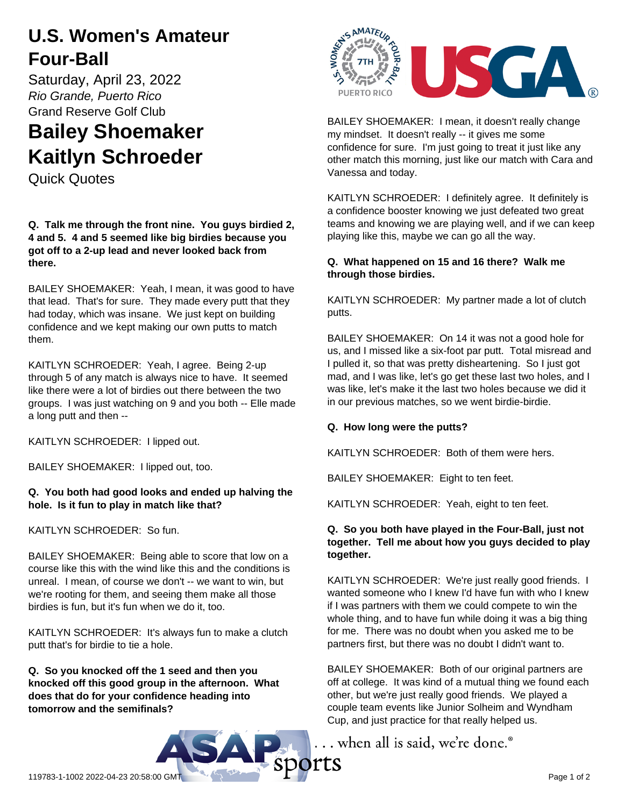# **U.S. Women's Amateur Four-Ball**

Saturday, April 23, 2022 *Rio Grande, Puerto Rico* Grand Reserve Golf Club

# **Bailey Shoemaker Kaitlyn Schroeder**

Quick Quotes

**Q. Talk me through the front nine. You guys birdied 2, 4 and 5. 4 and 5 seemed like big birdies because you got off to a 2-up lead and never looked back from there.**

BAILEY SHOEMAKER: Yeah, I mean, it was good to have that lead. That's for sure. They made every putt that they had today, which was insane. We just kept on building confidence and we kept making our own putts to match them.

KAITLYN SCHROEDER: Yeah, I agree. Being 2-up through 5 of any match is always nice to have. It seemed like there were a lot of birdies out there between the two groups. I was just watching on 9 and you both -- Elle made a long putt and then --

KAITLYN SCHROEDER: I lipped out.

BAILEY SHOEMAKER: I lipped out, too.

#### **Q. You both had good looks and ended up halving the hole. Is it fun to play in match like that?**

KAITLYN SCHROEDER: So fun.

BAILEY SHOEMAKER: Being able to score that low on a course like this with the wind like this and the conditions is unreal. I mean, of course we don't -- we want to win, but we're rooting for them, and seeing them make all those birdies is fun, but it's fun when we do it, too.

KAITLYN SCHROEDER: It's always fun to make a clutch putt that's for birdie to tie a hole.

**Q. So you knocked off the 1 seed and then you knocked off this good group in the afternoon. What does that do for your confidence heading into tomorrow and the semifinals?**



BAILEY SHOEMAKER: I mean, it doesn't really change my mindset. It doesn't really -- it gives me some confidence for sure. I'm just going to treat it just like any other match this morning, just like our match with Cara and Vanessa and today.

KAITLYN SCHROEDER: I definitely agree. It definitely is a confidence booster knowing we just defeated two great teams and knowing we are playing well, and if we can keep playing like this, maybe we can go all the way.

# **Q. What happened on 15 and 16 there? Walk me through those birdies.**

KAITLYN SCHROEDER: My partner made a lot of clutch putts.

BAILEY SHOEMAKER: On 14 it was not a good hole for us, and I missed like a six-foot par putt. Total misread and I pulled it, so that was pretty disheartening. So I just got mad, and I was like, let's go get these last two holes, and I was like, let's make it the last two holes because we did it in our previous matches, so we went birdie-birdie.

# **Q. How long were the putts?**

KAITLYN SCHROEDER: Both of them were hers.

BAILEY SHOEMAKER: Eight to ten feet.

KAITLYN SCHROEDER: Yeah, eight to ten feet.

# **Q. So you both have played in the Four-Ball, just not together. Tell me about how you guys decided to play together.**

KAITLYN SCHROEDER: We're just really good friends. I wanted someone who I knew I'd have fun with who I knew if I was partners with them we could compete to win the whole thing, and to have fun while doing it was a big thing for me. There was no doubt when you asked me to be partners first, but there was no doubt I didn't want to.

BAILEY SHOEMAKER: Both of our original partners are off at college. It was kind of a mutual thing we found each other, but we're just really good friends. We played a couple team events like Junior Solheim and Wyndham Cup, and just practice for that really helped us.

... when all is said, we're done.